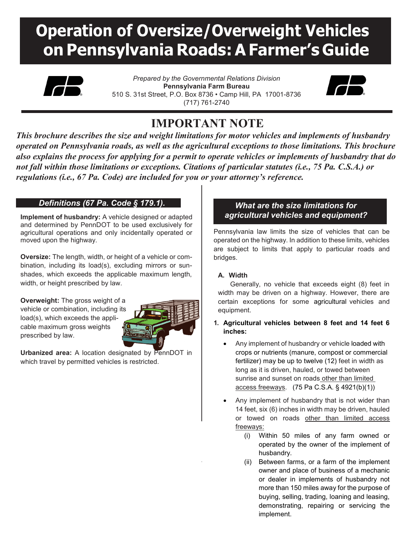# **Operation of Oversize/Overweight Vehicles on Pennsylvania Roads: AFarmer's Guide**



*Prepared by the Governmental Relations Division* **Pennsylvania Farm Bureau** 510 S. 31st Street, P.O. Box 8736 • Camp Hill, PA 17001-8736 (717) 761-2740



# **IMPORTANT NOTE**

*This brochure describes the size and weight limitations for motor vehicles and implements of husbandry operated on Pennsylvania roads, as well as the agricultural exceptions to those limitations. This brochure also explains the process for applying for a permit to operate vehicles or implements of husbandry that do not fall within those limitations or exceptions. Citations of particular statutes (i.e., 75 Pa. C.S.A.) or regulations (i.e., 67 Pa. Code) are included for you or your attorney's reference.* 

# *Definitions (67 Pa. Code § 179.1).*

**Implement of husbandry:** A vehicle designed or adapted and determined by PennDOT to be used exclusively for agricultural operations and only incidentally operated or moved upon the highway.

**Oversize:** The length, width, or height of a vehicle or combination, including its load(s), excluding mirrors or sunshades, which exceeds the applicable maximum length, width, or height prescribed by law.

**Overweight:** The gross weight of a vehicle or combination, including its load(s), which exceeds the applicable maximum gross weights prescribed by law.



**Urbanized area:** A location designated by PennDOT in which travel by permitted vehicles is restricted.

# *What are the size limitations for agricultural vehicles and equipment?*

Pennsylvania law limits the size of vehicles that can be operated on the highway. In addition to these limits, vehicles are subject to limits that apply to particular roads and bridges.

# **A. Width**

Generally, no vehicle that exceeds eight (8) feet in width may be driven on a highway. However, there are certain exceptions for some agricultural vehicles and equipment.

# **1. Agricultural vehicles between 8 feet and 14 feet 6 inches:**

- Any implement of husbandry or vehicle loaded with crops or nutrients (manure, compost or commercial fertilizer) may be up to twelve (12) feet in width as long as it is driven, hauled, or towed between sunrise and sunset on roads other than limited access freeways. (75 Pa C.S.A. § 4921(b)(1))
- Any implement of husbandry that is not wider than 14 feet, six (6) inches in width may be driven, hauled or towed on roads other than limited access freeways:
	- (i) Within 50 miles of any farm owned or operated by the owner of the implement of husbandry.
	- (ii) Between farms, or a farm of the implement owner and place of business of a mechanic or dealer in implements of husbandry not more than 150 miles away for the purpose of buying, selling, trading, loaning and leasing, demonstrating, repairing or servicing the implement.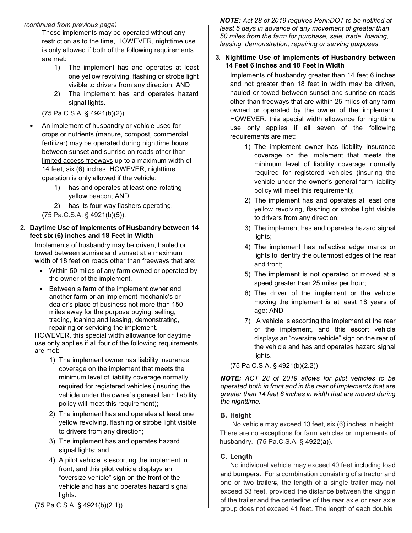These implements may be operated without any restriction as to the time, HOWEVER, nighttime use is only allowed if both of the following requirements are met:

- 1) The implement has and operates at least one yellow revolving, flashing or strobe light visible to drivers from any direction, AND
- 2) The implement has and operates hazard signal lights.

(75 Pa.C.S.A. § 4921(b)(2)).

- An implement of husbandry or vehicle used for crops or nutrients (manure, compost, commercial fertilizer) may be operated during nighttime hours between sunset and sunrise on roads other than limited access freeways up to a maximum width of 14 feet, six (6) inches, HOWEVER, nighttime operation is only allowed if the vehicle:
	- 1) has and operates at least one-rotating yellow beacon; AND
	- 2) has its four-way flashers operating.

(75 Pa.C.S.A. § 4921(b)(5)).

#### **2. Daytime Use of Implements of Husbandry between 14 feet six (6) inches and 18 Feet in Width**

Implements of husbandry may be driven, hauled or towed between sunrise and sunset at a maximum width of 18 feet on roads other than freeways that are:

- Within 50 miles of any farm owned or operated by the owner of the implement.
- Between a farm of the implement owner and another farm or an implement mechanic's or dealer's place of business not more than 150 miles away for the purpose buying, selling, trading, loaning and leasing, demonstrating, repairing or servicing the implement.

HOWEVER, this special width allowance for daytime use only applies if all four of the following requirements are met:

- 1) The implement owner has liability insurance coverage on the implement that meets the minimum level of liability coverage normally required for registered vehicles (insuring the vehicle under the owner's general farm liability policy will meet this requirement);
- 2) The implement has and operates at least one yellow revolving, flashing or strobe light visible to drivers from any direction;
- 3) The implement has and operates hazard signal lights; and
- 4) A pilot vehicle is escorting the implement in front, and this pilot vehicle displays an "oversize vehicle" sign on the front of the vehicle and has and operates hazard signal lights.

*NOTE: Act 28 of 2019 requires PennDOT to be notified at least 5 days in advance of any movement of greater than 50 miles from the farm for purchase, sale, trade, loaning, leasing, demonstration, repairing or serving purposes.*

#### **3. Nighttime Use of Implements of Husbandry between 14 Feet 6 Inches and 18 Feet in Width**

Implements of husbandry greater than 14 feet 6 inches and not greater than 18 feet in width may be driven, hauled or towed between sunset and sunrise on roads other than freeways that are within 25 miles of any farm owned or operated by the owner of the implement. HOWEVER, this special width allowance for nighttime use only applies if all seven of the following requirements are met:

- 1) The implement owner has liability insurance coverage on the implement that meets the minimum level of liability coverage normally required for registered vehicles (insuring the vehicle under the owner's general farm liability policy will meet this requirement);
- 2) The implement has and operates at least one yellow revolving, flashing or strobe light visible to drivers from any direction;
- 3) The implement has and operates hazard signal lights;
- 4) The implement has reflective edge marks or lights to identify the outermost edges of the rear and front;
- 5) The implement is not operated or moved at a speed greater than 25 miles per hour;
- 6) The driver of the implement or the vehicle moving the implement is at least 18 years of age; AND
- 7) A vehicle is escorting the implement at the rear of the implement, and this escort vehicle displays an "oversize vehicle" sign on the rear of the vehicle and has and operates hazard signal lights.

(75 Pa C.S.A. § 4921(b)(2.2))

*NOTE: ACT 28 of 2019 allows for pilot vehicles to be operated both in front and in the rear of implements that are greater than 14 feet 6 inches in width that are moved during the nighttime.* 

# **B. Height**

No vehicle may exceed 13 feet, six (6) inches in height. There are no exceptions for farm vehicles or implements of husbandry. (75 Pa.C.S.A. § 4922(a)).

# **C. Length**

No individual vehicle may exceed 40 feet including load and bumpers. For a combination consisting of a tractor and one or two trailers, the length of a single trailer may not exceed 53 feet, provided the distance between the kingpin of the trailer and the centerline of the rear axle or rear axle group does not exceed 41 feet. The length of each double

(75 Pa C.S.A. § 4921(b)(2.1))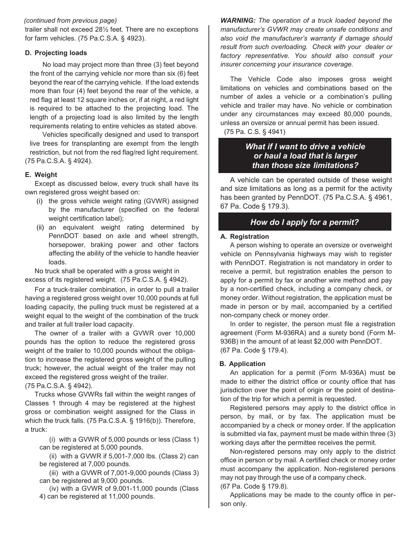trailer shall not exceed 28½ feet. There are no exceptions for farm vehicles. (75 Pa.C.S.A. § 4923).

#### **D. Projecting loads**

No load may project more than three (3) feet beyond the front of the carrying vehicle nor more than six (6) feet beyond the rear of the carrying vehicle. If the load extends more than four (4) feet beyond the rear of the vehicle, a red flag at least 12 square inches or, if at night, a red light is required to be attached to the projecting load. The length of a projecting load is also limited by the length requirements relating to entire vehicles as stated above.

Vehicles specifically designed and used to transport live trees for transplanting are exempt from the length restriction, but not from the red flag/red light requirement. (75 Pa.C.S.A. § 4924).

# **E. Weight**

Except as discussed below, every truck shall have its own registered gross weight based on:

- (i) the gross vehicle weight rating (GVWR) assigned by the manufacturer (specified on the federal weight certification label);
- (ii) an equivalent weight rating determined by PennDOT based on axle and wheel strength, horsepower, braking power and other factors affecting the ability of the vehicle to handle heavier loads.

No truck shall be operated with a gross weight in excess of its registered weight. (75 Pa.C.S.A. § 4942).

For a truck-trailer combination, in order to pull a trailer having a registered gross weight over 10,000 pounds at full loading capacity, the pulling truck must be registered at a weight equal to the weight of the combination of the truck and trailer at full trailer load capacity.

The owner of a trailer with a GVWR over 10,000 pounds has the option to reduce the registered gross weight of the trailer to 10,000 pounds without the obligation to increase the registered gross weight of the pulling truck; however, the actual weight of the trailer may not exceed the registered gross weight of the trailer.

(75 Pa.C.S.A. § 4942).

Trucks whose GVWRs fall within the weight ranges of Classes 1 through 4 may be registered at the highest gross or combination weight assigned for the Class in which the truck falls. (75 Pa.C.S.A. § 1916(b)). Therefore, a truck:

(i) with a GVWR of 5,000 pounds or less (Class 1) can be registered at 5,000 pounds.

(ii) with a GVWR if 5,001-7,000 lbs. (Class 2) can be registered at 7,000 pounds.

(iii) with a GVWR of 7,001-9,000 pounds (Class 3) can be registered at 9,000 pounds.

(iv) with a GVWR of 9,001-11,000 pounds (Class 4) can be registered at 11,000 pounds.

*WARNING: The operation of a truck loaded beyond the manufacturer's GVWR may create unsafe conditions and also void the manufacturer's warranty if damage should result from such overloading. Check with your dealer or factory representative. You should also consult your insurer concerning your insurance coverage.*

The Vehicle Code also imposes gross weight limitations on vehicles and combinations based on the number of axles a vehicle or a combination's pulling vehicle and trailer may have. No vehicle or combination under any circumstances may exceed 80,000 pounds, unless an oversize or annual permit has been issued.

(75 Pa. C.S. § 4941)

# *What if I want to drive a vehicle or haul a load that is larger than those size limitations?*

A vehicle can be operated outside of these weight and size limitations as long as a permit for the activity has been granted by PennDOT. (75 Pa.C.S.A. § 4961, 67 Pa. Code § 179.3).

# *How do I apply for a permit?*

#### **A. Registration**

A person wishing to operate an oversize or overweight vehicle on Pennsylvania highways may wish to register with PennDOT. Registration is not mandatory in order to receive a permit, but registration enables the person to apply for a permit by fax or another wire method and pay by a non-certified check, including a company check, or money order. Without registration, the application must be made in person or by mail, accompanied by a certified non-company check or money order.

In order to register, the person must file a registration agreement (Form M-936RA) and a surety bond (Form M-936B) in the amount of at least \$2,000 with PennDOT. (67 Pa. Code § 179.4).

# **B. Application**

An application for a permit (Form M-936A) must be made to either the district office or county office that has jurisdiction over the point of origin or the point of destination of the trip for which a permit is requested.

Registered persons may apply to the district office in person, by mail, or by fax. The application must be accompanied by a check or money order. If the application is submitted via fax, payment must be made within three (3) working days after the permittee receives the permit.

Non-registered persons may only apply to the district office in person or by mail. A certified check or money order must accompany the application. Non-registered persons may not pay through the use of a company check. (67 Pa. Code § 179.8).

Applications may be made to the county office in person only.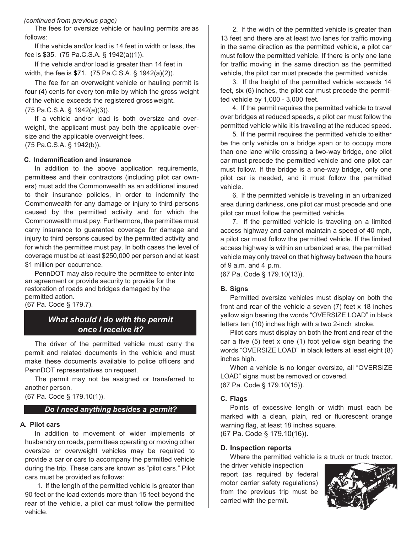The fees for oversize vehicle or hauling permits are as follows:

If the vehicle and/or load is 14 feet in width or less, the fee is \$35. (75 Pa.C.S.A. § 1942(a)(1)).

If the vehicle and/or load is greater than 14 feet in width, the fee is \$71. (75 Pa.C.S.A. § 1942(a)(2)).

The fee for an overweight vehicle or hauling permit is four (4) cents for every ton-mile by which the gross weight of the vehicle exceeds the registered grossweight.

#### (75 Pa.C.S.A. § 1942(a)(3)).

If a vehicle and/or load is both oversize and overweight, the applicant must pay both the applicable oversize and the applicable overweight fees.

(75 Pa.C.S.A. § 1942(b)).

#### **C. Indemnification and insurance**

In addition to the above application requirements, permittees and their contractors (including pilot car owners) must add the Commonwealth as an additional insured to their insurance policies, in order to indemnify the Commonwealth for any damage or injury to third persons caused by the permitted activity and for which the Commonwealth must pay. Furthermore, the permittee must carry insurance to guarantee coverage for damage and injury to third persons caused by the permitted activity and for which the permittee must pay. In both cases the level of coverage must be at least \$250,000 per person and at least \$1 million per occurrence.

PennDOT may also require the permittee to enter into an agreement or provide security to provide for the restoration of roads and bridges damaged by the permitted action. (67 Pa. Code § 179.7).

*What should I do with the permit* 

# *once I receive it?*

The driver of the permitted vehicle must carry the permit and related documents in the vehicle and must make these documents available to police officers and PennDOT representatives on request.

The permit may not be assigned or transferred to another person.

(67 Pa. Code § 179.10(1)).

#### *Do I need anything besides a permit?*

#### **A. Pilot cars**

In addition to movement of wider implements of husbandry on roads, permittees operating or moving other oversize or overweight vehicles may be required to provide a car or cars to accompany the permitted vehicle during the trip. These cars are known as "pilot cars." Pilot cars must be provided as follows:

1. If the length of the permitted vehicle is greater than 90 feet or the load extends more than 15 feet beyond the rear of the vehicle, a pilot car must follow the permitted vehicle.

2. If the width of the permitted vehicle is greater than 13 feet and there are at least two lanes for traffic moving in the same direction as the permitted vehicle, a pilot car must follow the permitted vehicle. If there is only one lane for traffic moving in the same direction as the permitted vehicle, the pilot car must precede the permitted vehicle.

3. If the height of the permitted vehicle exceeds 14 feet, six (6) inches, the pilot car must precede the permitted vehicle by 1,000 - 3,000 feet.

4. If the permit requires the permitted vehicle to travel over bridges at reduced speeds, a pilot car must follow the permitted vehicle while it is traveling at the reduced speed.

5. If the permit requires the permitted vehicle to either be the only vehicle on a bridge span or to occupy more than one lane while crossing a two-way bridge, one pilot car must precede the permitted vehicle and one pilot car must follow. If the bridge is a one-way bridge, only one pilot car is needed, and it must follow the permitted vehicle.

6. If the permitted vehicle is traveling in an urbanized area during darkness, one pilot car must precede and one pilot car must follow the permitted vehicle.

7. If the permitted vehicle is traveling on a limited access highway and cannot maintain a speed of 40 mph, a pilot car must follow the permitted vehicle. If the limited access highway is within an urbanized area, the permitted vehicle may only travel on that highway between the hours of 9 a.m. and 4 p.m.

(67 Pa. Code § 179.10(13)).

#### **B. Signs**

Permitted oversize vehicles must display on both the front and rear of the vehicle a seven (7) feet x 18 inches yellow sign bearing the words "OVERSIZE LOAD" in black letters ten (10) inches high with a two 2-inch stroke.

Pilot cars must display on both the front and rear of the car a five (5) feet x one (1) foot yellow sign bearing the words "OVERSIZE LOAD" in black letters at least eight (8) inches high.

When a vehicle is no longer oversize, all "OVERSIZE LOAD" signs must be removed or covered. (67 Pa. Code § 179.10(15)).

#### **C. Flags**

Points of excessive length or width must each be marked with a clean, plain, red or fluorescent orange warning flag, at least 18 inches square.

(67 Pa. Code § 179.10(16)).

#### **D. Inspection reports**

Where the permitted vehicle is a truck or truck tractor,

the driver vehicle inspection report (as required by federal motor carrier safety regulations) from the previous trip must be carried with the permit.